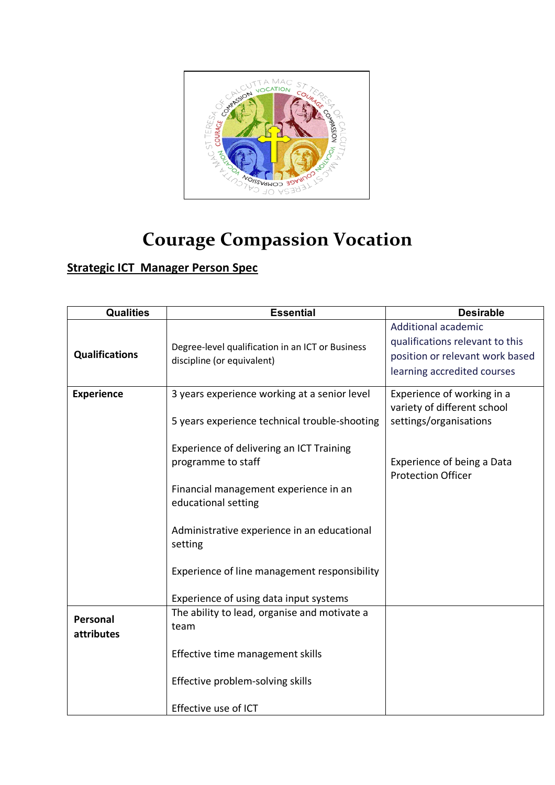

## **Courage Compassion Vocation**

## **Strategic ICT Manager Person Spec**

| <b>Qualities</b>       | <b>Essential</b>                                                                              | <b>Desirable</b>                                                                                                                |
|------------------------|-----------------------------------------------------------------------------------------------|---------------------------------------------------------------------------------------------------------------------------------|
| <b>Qualifications</b>  | Degree-level qualification in an ICT or Business<br>discipline (or equivalent)                | <b>Additional academic</b><br>qualifications relevant to this<br>position or relevant work based<br>learning accredited courses |
| <b>Experience</b>      | 3 years experience working at a senior level<br>5 years experience technical trouble-shooting | Experience of working in a<br>variety of different school<br>settings/organisations                                             |
|                        | Experience of delivering an ICT Training<br>programme to staff                                | Experience of being a Data<br><b>Protection Officer</b>                                                                         |
|                        | Financial management experience in an<br>educational setting                                  |                                                                                                                                 |
|                        | Administrative experience in an educational<br>setting                                        |                                                                                                                                 |
|                        | Experience of line management responsibility                                                  |                                                                                                                                 |
|                        | Experience of using data input systems                                                        |                                                                                                                                 |
| Personal<br>attributes | The ability to lead, organise and motivate a<br>team                                          |                                                                                                                                 |
|                        | Effective time management skills                                                              |                                                                                                                                 |
|                        | Effective problem-solving skills                                                              |                                                                                                                                 |
|                        | Effective use of ICT                                                                          |                                                                                                                                 |